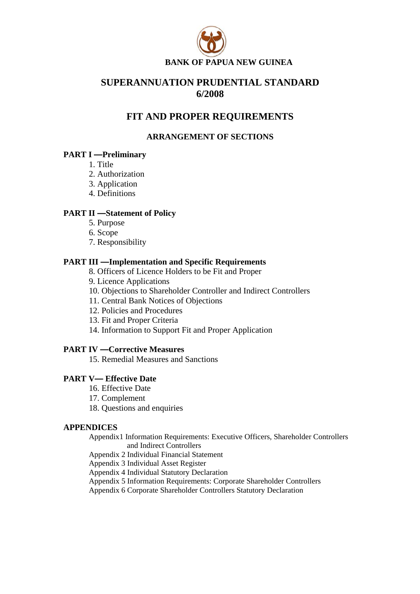

# **SUPERANNUATION PRUDENTIAL STANDARD 6/2008**

# **FIT AND PROPER REQUIREMENTS**

# **ARRANGEMENT OF SECTIONS**

# **PART I —Preliminary**

- 1. Title
- 2. Authorization
- 3. Application
- 4. Definitions

# **PART II —Statement of Policy**

- 5. Purpose
- 6. Scope
- 7. Responsibility

# **PART III —Implementation and Specific Requirements**

- 8. Officers of Licence Holders to be Fit and Proper
- 9. Licence Applications
- 10. Objections to Shareholder Controller and Indirect Controllers
- 11. Central Bank Notices of Objections
- 12. Policies and Procedures
- 13. Fit and Proper Criteria
- 14. Information to Support Fit and Proper Application

# **PART IV —Corrective Measures**

15. Remedial Measures and Sanctions

# **PART V— Effective Date**

- 16. Effective Date
- 17. Complement
- 18. Questions and enquiries

### **APPENDICES**

Appendix1 Information Requirements: Executive Officers, Shareholder Controllers and Indirect Controllers

Appendix 2 Individual Financial Statement

Appendix 3 Individual Asset Register

Appendix 4 Individual Statutory Declaration

Appendix 5 Information Requirements: Corporate Shareholder Controllers

Appendix 6 Corporate Shareholder Controllers Statutory Declaration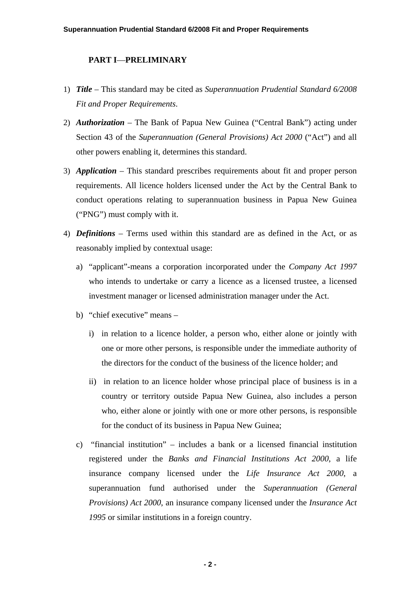## **PART I**—**PRELIMINARY**

- 1) *Title –* This standard may be cited as *Superannuation Prudential Standard 6/2008 Fit and Proper Requirements*.
- 2) *Authorization* The Bank of Papua New Guinea ("Central Bank") acting under Section 43 of the *Superannuation (General Provisions) Act 2000* ("Act") and all other powers enabling it, determines this standard.
- 3) *Application* This standard prescribes requirements about fit and proper person requirements. All licence holders licensed under the Act by the Central Bank to conduct operations relating to superannuation business in Papua New Guinea ("PNG") must comply with it.
- 4) *Definitions* Terms used within this standard are as defined in the Act, or as reasonably implied by contextual usage:
	- a) "applicant"-means a corporation incorporated under the *Company Act 1997* who intends to undertake or carry a licence as a licensed trustee, a licensed investment manager or licensed administration manager under the Act.
	- b) "chief executive" means
		- i) in relation to a licence holder, a person who, either alone or jointly with one or more other persons, is responsible under the immediate authority of the directors for the conduct of the business of the licence holder; and
		- ii) in relation to an licence holder whose principal place of business is in a country or territory outside Papua New Guinea, also includes a person who, either alone or jointly with one or more other persons, is responsible for the conduct of its business in Papua New Guinea;
	- c) "financial institution" includes a bank or a licensed financial institution registered under the *Banks and Financial Institutions Act 2000*, a life insurance company licensed under the *Life Insurance Act 2000*, a superannuation fund authorised under the *Superannuation (General Provisions) Act 2000*, an insurance company licensed under the *Insurance Act 1995* or similar institutions in a foreign country.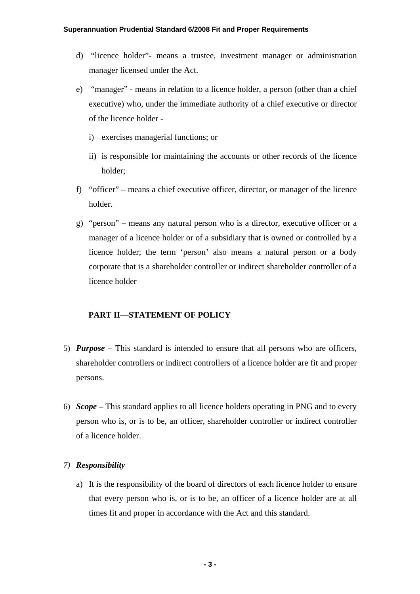- d) "licence holder"- means a trustee, investment manager or administration manager licensed under the Act.
- e) "manager" means in relation to a licence holder, a person (other than a chief executive) who, under the immediate authority of a chief executive or director of the licence holder
	- i) exercises managerial functions; or
	- ii) is responsible for maintaining the accounts or other records of the licence holder;
- f) "officer" means a chief executive officer, director, or manager of the licence holder.
- g) "person" means any natural person who is a director, executive officer or a manager of a licence holder or of a subsidiary that is owned or controlled by a licence holder; the term 'person' also means a natural person or a body corporate that is a shareholder controller or indirect shareholder controller of a licence holder

# **PART II**—**STATEMENT OF POLICY**

- 5) *Purpose* This standard is intended to ensure that all persons who are officers, shareholder controllers or indirect controllers of a licence holder are fit and proper persons.
- 6) *Scope* **–** This standard applies to all licence holders operating in PNG and to every person who is, or is to be, an officer, shareholder controller or indirect controller of a licence holder.

# *7) Responsibility*

a) It is the responsibility of the board of directors of each licence holder to ensure that every person who is, or is to be, an officer of a licence holder are at all times fit and proper in accordance with the Act and this standard.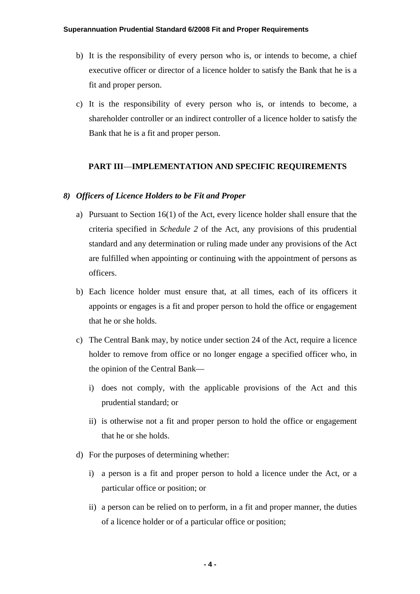- b) It is the responsibility of every person who is, or intends to become, a chief executive officer or director of a licence holder to satisfy the Bank that he is a fit and proper person.
- c) It is the responsibility of every person who is, or intends to become, a shareholder controller or an indirect controller of a licence holder to satisfy the Bank that he is a fit and proper person.

## **PART III**—**IMPLEMENTATION AND SPECIFIC REQUIREMENTS**

#### *8) Officers of Licence Holders to be Fit and Proper*

- a) Pursuant to Section 16(1) of the Act, every licence holder shall ensure that the criteria specified in *Schedule 2* of the Act, any provisions of this prudential standard and any determination or ruling made under any provisions of the Act are fulfilled when appointing or continuing with the appointment of persons as officers.
- b) Each licence holder must ensure that, at all times, each of its officers it appoints or engages is a fit and proper person to hold the office or engagement that he or she holds.
- c) The Central Bank may, by notice under section 24 of the Act, require a licence holder to remove from office or no longer engage a specified officer who, in the opinion of the Central Bank
	- i) does not comply, with the applicable provisions of the Act and this prudential standard; or
	- ii) is otherwise not a fit and proper person to hold the office or engagement that he or she holds.
- d) For the purposes of determining whether:
	- i) a person is a fit and proper person to hold a licence under the Act, or a particular office or position; or
	- ii) a person can be relied on to perform, in a fit and proper manner, the duties of a licence holder or of a particular office or position;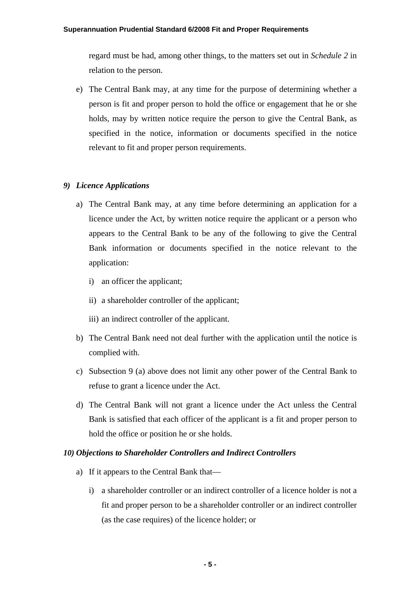#### **Superannuation Prudential Standard 6/2008 Fit and Proper Requirements**

regard must be had, among other things, to the matters set out in *Schedule 2* in relation to the person.

e) The Central Bank may, at any time for the purpose of determining whether a person is fit and proper person to hold the office or engagement that he or she holds, may by written notice require the person to give the Central Bank, as specified in the notice, information or documents specified in the notice relevant to fit and proper person requirements.

## *9) Licence Applications*

- a) The Central Bank may, at any time before determining an application for a licence under the Act, by written notice require the applicant or a person who appears to the Central Bank to be any of the following to give the Central Bank information or documents specified in the notice relevant to the application:
	- i) an officer the applicant;
	- ii) a shareholder controller of the applicant;
	- iii) an indirect controller of the applicant.
- b) The Central Bank need not deal further with the application until the notice is complied with.
- c) Subsection 9 (a) above does not limit any other power of the Central Bank to refuse to grant a licence under the Act.
- d) The Central Bank will not grant a licence under the Act unless the Central Bank is satisfied that each officer of the applicant is a fit and proper person to hold the office or position he or she holds.

## *10) Objections to Shareholder Controllers and Indirect Controllers*

- a) If it appears to the Central Bank that
	- i) a shareholder controller or an indirect controller of a licence holder is not a fit and proper person to be a shareholder controller or an indirect controller (as the case requires) of the licence holder; or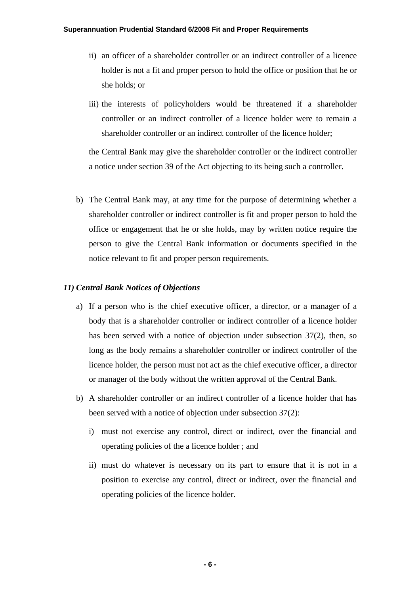- ii) an officer of a shareholder controller or an indirect controller of a licence holder is not a fit and proper person to hold the office or position that he or she holds; or
- iii) the interests of policyholders would be threatened if a shareholder controller or an indirect controller of a licence holder were to remain a shareholder controller or an indirect controller of the licence holder;

the Central Bank may give the shareholder controller or the indirect controller a notice under section 39 of the Act objecting to its being such a controller.

b) The Central Bank may, at any time for the purpose of determining whether a shareholder controller or indirect controller is fit and proper person to hold the office or engagement that he or she holds, may by written notice require the person to give the Central Bank information or documents specified in the notice relevant to fit and proper person requirements.

#### *11) Central Bank Notices of Objections*

- a) If a person who is the chief executive officer, a director, or a manager of a body that is a shareholder controller or indirect controller of a licence holder has been served with a notice of objection under subsection 37(2), then, so long as the body remains a shareholder controller or indirect controller of the licence holder, the person must not act as the chief executive officer, a director or manager of the body without the written approval of the Central Bank.
- b) A shareholder controller or an indirect controller of a licence holder that has been served with a notice of objection under subsection 37(2):
	- i) must not exercise any control, direct or indirect, over the financial and operating policies of the a licence holder ; and
	- ii) must do whatever is necessary on its part to ensure that it is not in a position to exercise any control, direct or indirect, over the financial and operating policies of the licence holder.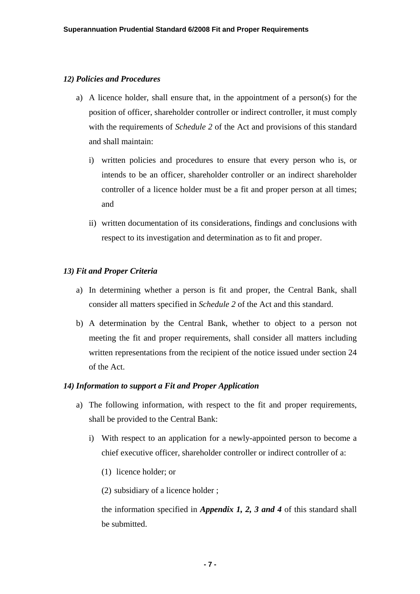## *12) Policies and Procedures*

- a) A licence holder, shall ensure that, in the appointment of a person(s) for the position of officer, shareholder controller or indirect controller, it must comply with the requirements of *Schedule 2* of the Act and provisions of this standard and shall maintain:
	- i) written policies and procedures to ensure that every person who is, or intends to be an officer, shareholder controller or an indirect shareholder controller of a licence holder must be a fit and proper person at all times; and
	- ii) written documentation of its considerations, findings and conclusions with respect to its investigation and determination as to fit and proper.

## *13) Fit and Proper Criteria*

- a) In determining whether a person is fit and proper, the Central Bank, shall consider all matters specified in *Schedule 2* of the Act and this standard.
- b) A determination by the Central Bank, whether to object to a person not meeting the fit and proper requirements, shall consider all matters including written representations from the recipient of the notice issued under section 24 of the Act.

### *14) Information to support a Fit and Proper Application*

- a) The following information, with respect to the fit and proper requirements, shall be provided to the Central Bank:
	- i) With respect to an application for a newly-appointed person to become a chief executive officer, shareholder controller or indirect controller of a:
		- (1) licence holder; or
		- (2) subsidiary of a licence holder ;

the information specified in *Appendix 1, 2, 3 and 4* of this standard shall be submitted.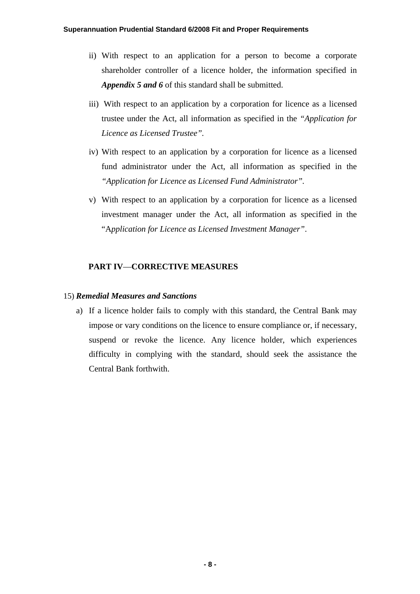- ii) With respect to an application for a person to become a corporate shareholder controller of a licence holder, the information specified in *Appendix 5 and 6* of this standard shall be submitted.
- iii) With respect to an application by a corporation for licence as a licensed trustee under the Act, all information as specified in the *"Application for Licence as Licensed Trustee".*
- iv) With respect to an application by a corporation for licence as a licensed fund administrator under the Act, all information as specified in the *"Application for Licence as Licensed Fund Administrator".*
- v) With respect to an application by a corporation for licence as a licensed investment manager under the Act, all information as specified in the "A*pplication for Licence as Licensed Investment Manager"*.

# **PART IV**—**CORRECTIVE MEASURES**

## 15) *Remedial Measures and Sanctions*

a) If a licence holder fails to comply with this standard, the Central Bank may impose or vary conditions on the licence to ensure compliance or, if necessary, suspend or revoke the licence. Any licence holder, which experiences difficulty in complying with the standard, should seek the assistance the Central Bank forthwith.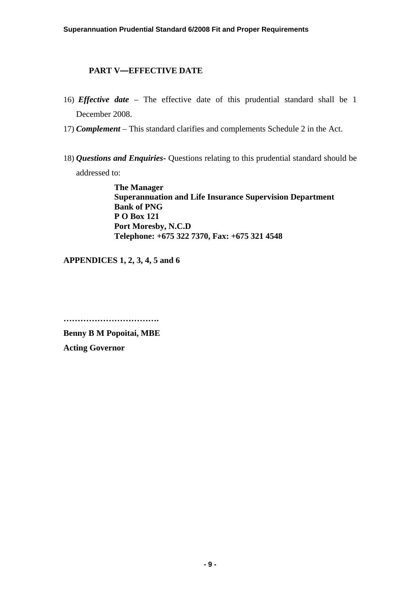# **PART V—EFFECTIVE DATE**

- 16) *Effective date* The effective date of this prudential standard shall be 1 December 2008.
- 17) *Complement* This standard clarifies and complements Schedule 2 in the Act.
- 18) *Questions and Enquiries*Questions relating to this prudential standard should be addressed to:

**The Manager Superannuation and Life Insurance Supervision Department Bank of PNG P O Box 121 Port Moresby, N.C.D Telephone: +675 322 7370, Fax: +675 321 4548**

**APPENDICES 1, 2, 3, 4, 5 and 6** 

**…………………………….** 

**Benny B M Popoitai, MBE Acting Governor**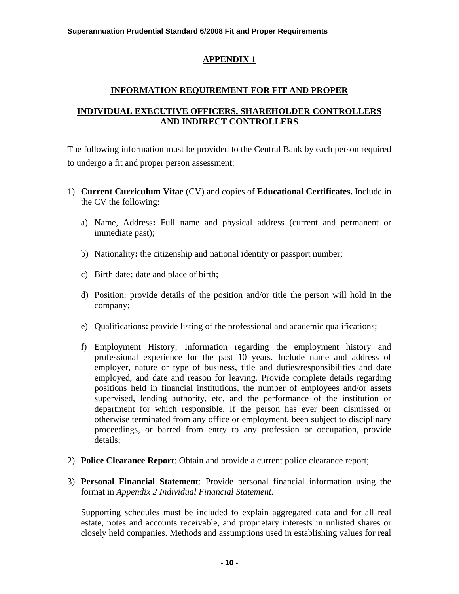# **INFORMATION REQUIREMENT FOR FIT AND PROPER**

# **INDIVIDUAL EXECUTIVE OFFICERS, SHAREHOLDER CONTROLLERS AND INDIRECT CONTROLLERS**

The following information must be provided to the Central Bank by each person required to undergo a fit and proper person assessment:

- 1) **Current Curriculum Vitae** (CV) and copies of **Educational Certificates.** Include in the CV the following:
	- a) Name, Address**:** Full name and physical address (current and permanent or immediate past);
	- b) Nationality**:** the citizenship and national identity or passport number;
	- c) Birth date**:** date and place of birth;
	- d) Position: provide details of the position and/or title the person will hold in the company;
	- e) Qualifications**:** provide listing of the professional and academic qualifications;
	- f) Employment History: Information regarding the employment history and professional experience for the past 10 years. Include name and address of employer, nature or type of business, title and duties/responsibilities and date employed, and date and reason for leaving. Provide complete details regarding positions held in financial institutions, the number of employees and/or assets supervised, lending authority, etc. and the performance of the institution or department for which responsible. If the person has ever been dismissed or otherwise terminated from any office or employment, been subject to disciplinary proceedings, or barred from entry to any profession or occupation, provide details;
- 2) **Police Clearance Report**: Obtain and provide a current police clearance report;
- 3) **Personal Financial Statement**: Provide personal financial information using the format in *Appendix 2 Individual Financial Statement.*

Supporting schedules must be included to explain aggregated data and for all real estate, notes and accounts receivable, and proprietary interests in unlisted shares or closely held companies. Methods and assumptions used in establishing values for real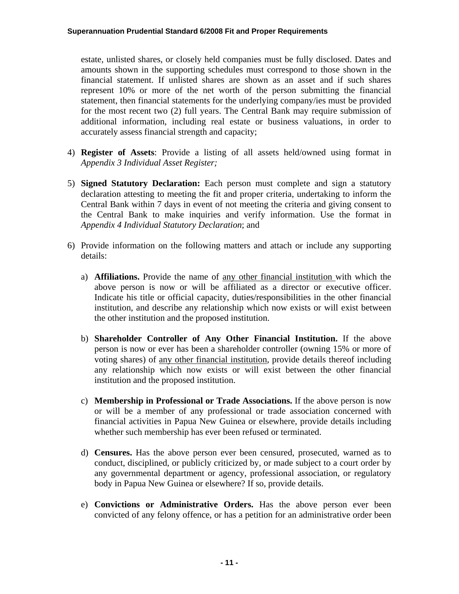estate, unlisted shares, or closely held companies must be fully disclosed. Dates and amounts shown in the supporting schedules must correspond to those shown in the financial statement. If unlisted shares are shown as an asset and if such shares represent 10% or more of the net worth of the person submitting the financial statement, then financial statements for the underlying company/ies must be provided for the most recent two (2) full years. The Central Bank may require submission of additional information, including real estate or business valuations, in order to accurately assess financial strength and capacity;

- 4) **Register of Assets**: Provide a listing of all assets held/owned using format in *Appendix 3 Individual Asset Register;*
- 5) **Signed Statutory Declaration:** Each person must complete and sign a statutory declaration attesting to meeting the fit and proper criteria, undertaking to inform the Central Bank within 7 days in event of not meeting the criteria and giving consent to the Central Bank to make inquiries and verify information. Use the format in *Appendix 4 Individual Statutory Declaration*; and
- 6) Provide information on the following matters and attach or include any supporting details:
	- a) **Affiliations.** Provide the name of any other financial institution with which the above person is now or will be affiliated as a director or executive officer. Indicate his title or official capacity, duties/responsibilities in the other financial institution, and describe any relationship which now exists or will exist between the other institution and the proposed institution.
	- b) **Shareholder Controller of Any Other Financial Institution.** If the above person is now or ever has been a shareholder controller (owning 15% or more of voting shares) of any other financial institution, provide details thereof including any relationship which now exists or will exist between the other financial institution and the proposed institution.
	- c) **Membership in Professional or Trade Associations.** If the above person is now or will be a member of any professional or trade association concerned with financial activities in Papua New Guinea or elsewhere, provide details including whether such membership has ever been refused or terminated.
	- d) **Censures.** Has the above person ever been censured, prosecuted, warned as to conduct, disciplined, or publicly criticized by, or made subject to a court order by any governmental department or agency, professional association, or regulatory body in Papua New Guinea or elsewhere? If so, provide details.
	- e) **Convictions or Administrative Orders.** Has the above person ever been convicted of any felony offence, or has a petition for an administrative order been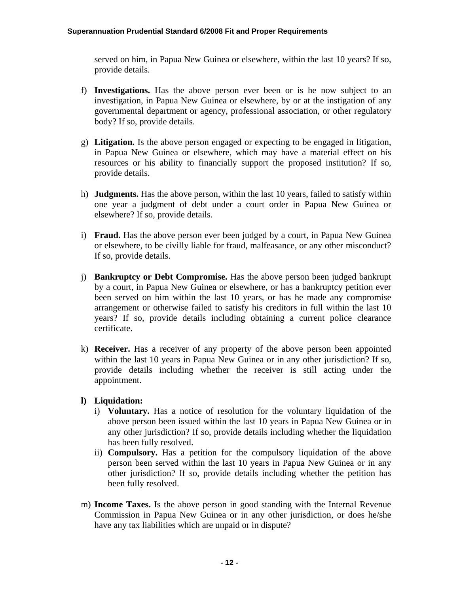served on him, in Papua New Guinea or elsewhere, within the last 10 years? If so, provide details.

- f) **Investigations.** Has the above person ever been or is he now subject to an investigation, in Papua New Guinea or elsewhere, by or at the instigation of any governmental department or agency, professional association, or other regulatory body? If so, provide details.
- g) **Litigation.** Is the above person engaged or expecting to be engaged in litigation, in Papua New Guinea or elsewhere, which may have a material effect on his resources or his ability to financially support the proposed institution? If so, provide details.
- h) **Judgments.** Has the above person, within the last 10 years, failed to satisfy within one year a judgment of debt under a court order in Papua New Guinea or elsewhere? If so, provide details.
- i) **Fraud.** Has the above person ever been judged by a court, in Papua New Guinea or elsewhere, to be civilly liable for fraud, malfeasance, or any other misconduct? If so, provide details.
- j) **Bankruptcy or Debt Compromise.** Has the above person been judged bankrupt by a court, in Papua New Guinea or elsewhere, or has a bankruptcy petition ever been served on him within the last 10 years, or has he made any compromise arrangement or otherwise failed to satisfy his creditors in full within the last 10 years? If so, provide details including obtaining a current police clearance certificate.
- k) **Receiver.** Has a receiver of any property of the above person been appointed within the last 10 years in Papua New Guinea or in any other jurisdiction? If so, provide details including whether the receiver is still acting under the appointment.

# **l) Liquidation:**

- i) **Voluntary.** Has a notice of resolution for the voluntary liquidation of the above person been issued within the last 10 years in Papua New Guinea or in any other jurisdiction? If so, provide details including whether the liquidation has been fully resolved.
- ii) **Compulsory.** Has a petition for the compulsory liquidation of the above person been served within the last 10 years in Papua New Guinea or in any other jurisdiction? If so, provide details including whether the petition has been fully resolved.
- m) **Income Taxes.** Is the above person in good standing with the Internal Revenue Commission in Papua New Guinea or in any other jurisdiction, or does he/she have any tax liabilities which are unpaid or in dispute?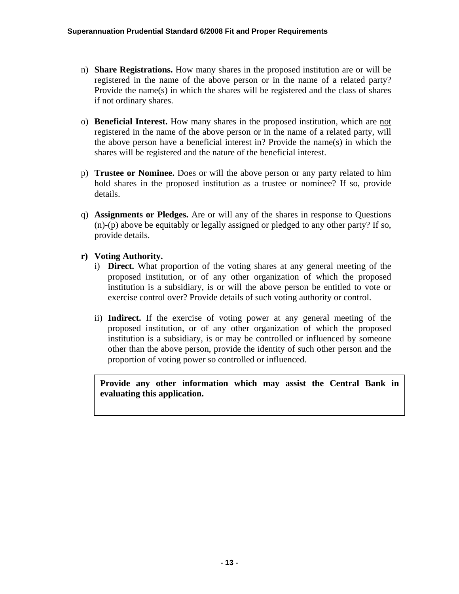- n) **Share Registrations.** How many shares in the proposed institution are or will be registered in the name of the above person or in the name of a related party? Provide the name(s) in which the shares will be registered and the class of shares if not ordinary shares.
- o) **Beneficial Interest.** How many shares in the proposed institution, which are not registered in the name of the above person or in the name of a related party, will the above person have a beneficial interest in? Provide the name(s) in which the shares will be registered and the nature of the beneficial interest.
- p) **Trustee or Nominee.** Does or will the above person or any party related to him hold shares in the proposed institution as a trustee or nominee? If so, provide details.
- q) **Assignments or Pledges.** Are or will any of the shares in response to Questions (n)-(p) above be equitably or legally assigned or pledged to any other party? If so, provide details.
- **r) Voting Authority.** 
	- i) **Direct.** What proportion of the voting shares at any general meeting of the proposed institution, or of any other organization of which the proposed institution is a subsidiary, is or will the above person be entitled to vote or exercise control over? Provide details of such voting authority or control.
	- ii) **Indirect.** If the exercise of voting power at any general meeting of the proposed institution, or of any other organization of which the proposed institution is a subsidiary, is or may be controlled or influenced by someone other than the above person, provide the identity of such other person and the proportion of voting power so controlled or influenced.

**Provide any other information which may assist the Central Bank in evaluating this application.**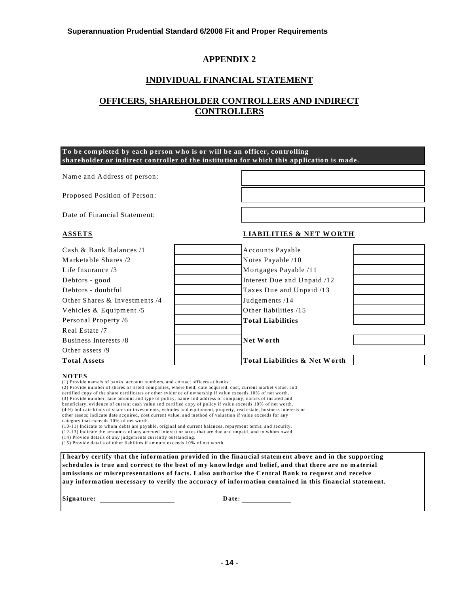# **INDIVIDUAL FINANCIAL STATEMENT**

# **OFFICERS, SHAREHOLDER CONTROLLERS AND INDIRECT CONTROLLERS**

#### **To be completed by each person who is or will be an officer, controlling shareholder or indirect controller of the institution for which this application is made.**

Name and Address of person:

Proposed Position of Person:

Date of Financial Statement:

#### **ASSETS LIABILITIES & NET W ORTH**

| <b>Total Assets</b>           | Total Liabilities & Net Worth |  |
|-------------------------------|-------------------------------|--|
| Other assets /9               |                               |  |
| Business Interests /8         | Net Worth                     |  |
| Real Estate /7                |                               |  |
| Personal Property /6          | <b>Total Liabilities</b>      |  |
| Vehicles $& Equipment/5$      | Other liabilities /15         |  |
| Other Shares & Investments /4 | Judgements /14                |  |
| Debtors - doubtful            | Taxes Due and Unpaid /13      |  |
| Debtors - good                | Interest Due and Unpaid /12   |  |
| Life Insurance $/3$           | Mortgages Payable /11         |  |
| Marketable Shares /2          | Notes Payable /10             |  |
| Cash & Bank Balances /1       | Accounts Payable              |  |

#### **NOTES**

(1) Provide name/s of banks, account numbers, and contact officers at banks.

(2) Provide number of shares of listed companies, where held, date acquired, cost, current market value, and certified copy of the share certificates or other evidence of ownership if value exceeds 10% of net worth. (3) Provide number, face amount and type of policy, name and address of company, names of insured and beneficiary, evidence of current cash value and certified copy of policy if value exceeds 10% of net worth. (4-9) Indicate kinds of shares or investments, vehicles and equipment, property, real estate, business interests or other assets; indicate date acquired, cost current value, and method of valuation if value exceeds for any category that exceeds 10% of net worth.

(10-11) Indicate to whom debts are payable, original and current balances, repayment terms, and security.

(12-13) Indicate the amount/s of any accrued interest or taxes that are due and unpaid, and to whom owed.

(14) Provide details of any judgements currently outstanding.

(15) Provide details of other liabilites if amount exceeds 10% of net worth.

**I hearby certify that the inform ation provided in the financial statem ent above and in the supporting schedules is true and correct to the best of m y knowledge and belief, and that there are no m aterial om issions or m isrepresentations of facts. I also authorise the Central Bank to request and receive any inform ation necessary to verify the accuracy of inform ation contained in this financial statem ent.**

**Signature: Date:**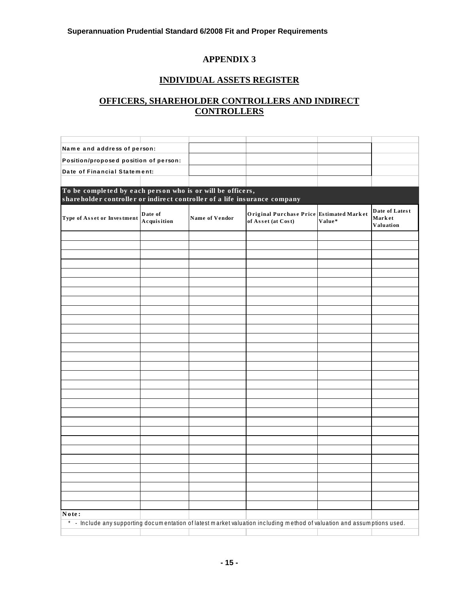# **INDIVIDUAL ASSETS REGISTER**

# **OFFICERS, SHAREHOLDER CONTROLLERS AND INDIRECT CONTROLLERS**

| Name and address of person:                                                                                                             |                                       |                |                                                                |        |                                       |  |
|-----------------------------------------------------------------------------------------------------------------------------------------|---------------------------------------|----------------|----------------------------------------------------------------|--------|---------------------------------------|--|
|                                                                                                                                         | Position/proposed position of person: |                |                                                                |        |                                       |  |
| Date of Financial Statement:                                                                                                            |                                       |                |                                                                |        |                                       |  |
|                                                                                                                                         |                                       |                |                                                                |        |                                       |  |
| To be completed by each person who is or will be officers,<br>shareholder controller or indirect controller of a life insurance company |                                       |                |                                                                |        |                                       |  |
| Type of Asset or Investment                                                                                                             | Date of<br>Acquisition                | Name of Vendor | Original Purchase Price Estimated Market<br>of Asset (at Cost) | Value* | Date of Latest<br>Market<br>Valuation |  |
|                                                                                                                                         |                                       |                |                                                                |        |                                       |  |
|                                                                                                                                         |                                       |                |                                                                |        |                                       |  |
|                                                                                                                                         |                                       |                |                                                                |        |                                       |  |
|                                                                                                                                         |                                       |                |                                                                |        |                                       |  |
|                                                                                                                                         |                                       |                |                                                                |        |                                       |  |
|                                                                                                                                         |                                       |                |                                                                |        |                                       |  |
|                                                                                                                                         |                                       |                |                                                                |        |                                       |  |
|                                                                                                                                         |                                       |                |                                                                |        |                                       |  |
|                                                                                                                                         |                                       |                |                                                                |        |                                       |  |
|                                                                                                                                         |                                       |                |                                                                |        |                                       |  |
|                                                                                                                                         |                                       |                |                                                                |        |                                       |  |
|                                                                                                                                         |                                       |                |                                                                |        |                                       |  |
|                                                                                                                                         |                                       |                |                                                                |        |                                       |  |
|                                                                                                                                         |                                       |                |                                                                |        |                                       |  |
|                                                                                                                                         |                                       |                |                                                                |        |                                       |  |
|                                                                                                                                         |                                       |                |                                                                |        |                                       |  |
|                                                                                                                                         |                                       |                |                                                                |        |                                       |  |
|                                                                                                                                         |                                       |                |                                                                |        |                                       |  |
|                                                                                                                                         |                                       |                |                                                                |        |                                       |  |
|                                                                                                                                         |                                       |                |                                                                |        |                                       |  |
|                                                                                                                                         |                                       |                |                                                                |        |                                       |  |
|                                                                                                                                         |                                       |                |                                                                |        |                                       |  |
|                                                                                                                                         |                                       |                |                                                                |        |                                       |  |
|                                                                                                                                         |                                       |                |                                                                |        |                                       |  |
|                                                                                                                                         |                                       |                |                                                                |        |                                       |  |
|                                                                                                                                         |                                       |                |                                                                |        |                                       |  |
|                                                                                                                                         |                                       |                |                                                                |        |                                       |  |
| Note:<br>* - Include any supporting documentation of latest market valuation including method of valuation and assumptions used.        |                                       |                |                                                                |        |                                       |  |
|                                                                                                                                         |                                       |                |                                                                |        |                                       |  |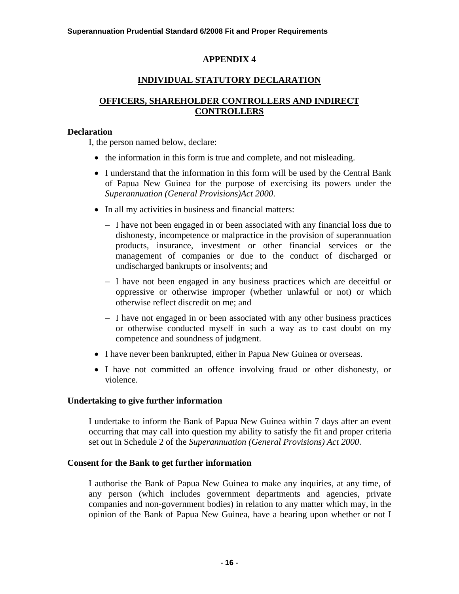# **INDIVIDUAL STATUTORY DECLARATION**

# **OFFICERS, SHAREHOLDER CONTROLLERS AND INDIRECT CONTROLLERS**

## **Declaration**

I, the person named below, declare:

- the information in this form is true and complete, and not misleading.
- I understand that the information in this form will be used by the Central Bank of Papua New Guinea for the purpose of exercising its powers under the *Superannuation (General Provisions)Act 2000*.
- In all my activities in business and financial matters:
	- − I have not been engaged in or been associated with any financial loss due to dishonesty, incompetence or malpractice in the provision of superannuation products, insurance, investment or other financial services or the management of companies or due to the conduct of discharged or undischarged bankrupts or insolvents; and
	- − I have not been engaged in any business practices which are deceitful or oppressive or otherwise improper (whether unlawful or not) or which otherwise reflect discredit on me; and
	- − I have not engaged in or been associated with any other business practices or otherwise conducted myself in such a way as to cast doubt on my competence and soundness of judgment.
- I have never been bankrupted, either in Papua New Guinea or overseas.
- I have not committed an offence involving fraud or other dishonesty, or violence.

# **Undertaking to give further information**

I undertake to inform the Bank of Papua New Guinea within 7 days after an event occurring that may call into question my ability to satisfy the fit and proper criteria set out in Schedule 2 of the *Superannuation (General Provisions) Act 2000*.

### **Consent for the Bank to get further information**

I authorise the Bank of Papua New Guinea to make any inquiries, at any time, of any person (which includes government departments and agencies, private companies and non-government bodies) in relation to any matter which may, in the opinion of the Bank of Papua New Guinea, have a bearing upon whether or not I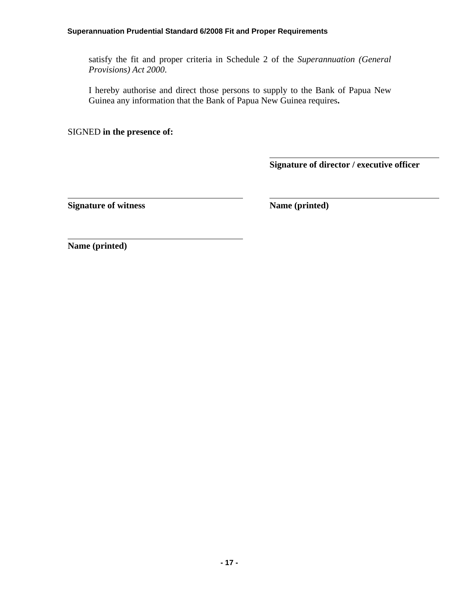#### **Superannuation Prudential Standard 6/2008 Fit and Proper Requirements**

satisfy the fit and proper criteria in Schedule 2 of the *Superannuation (General Provisions) Act 2000*.

I hereby authorise and direct those persons to supply to the Bank of Papua New Guinea any information that the Bank of Papua New Guinea requires**.** 

SIGNED **in the presence of:** 

**Signature of director / executive officer** 

**Signature of witness** Name (printed)

**Name (printed)**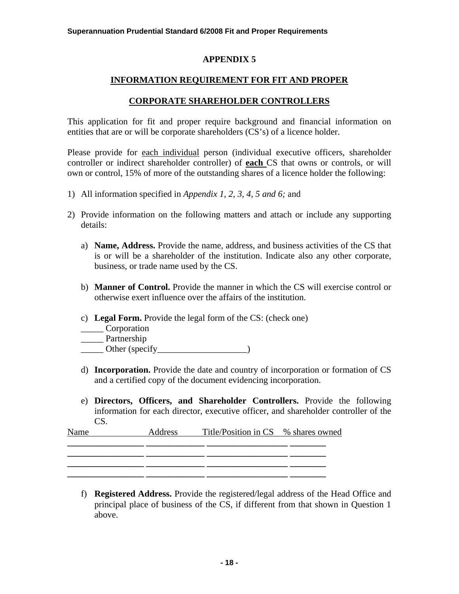# **INFORMATION REQUIREMENT FOR FIT AND PROPER**

## **CORPORATE SHAREHOLDER CONTROLLERS**

This application for fit and proper require background and financial information on entities that are or will be corporate shareholders (CS's) of a licence holder.

Please provide for each individual person (individual executive officers, shareholder controller or indirect shareholder controller) of **each** CS that owns or controls, or will own or control, 15% of more of the outstanding shares of a licence holder the following:

- 1) All information specified in *Appendix 1, 2, 3, 4, 5 and 6;* and
- 2) Provide information on the following matters and attach or include any supporting details:
	- a) **Name, Address.** Provide the name, address, and business activities of the CS that is or will be a shareholder of the institution. Indicate also any other corporate, business, or trade name used by the CS.
	- b) **Manner of Control.** Provide the manner in which the CS will exercise control or otherwise exert influence over the affairs of the institution.
	- c) **Legal Form.** Provide the legal form of the CS: (check one)
	- \_\_\_\_\_ Corporation

\_\_\_\_\_ Partnership

- $\frac{1}{\sqrt{1-\frac{1}{2}}}\text{Other (specificity)}$
- d) **Incorporation.** Provide the date and country of incorporation or formation of CS and a certified copy of the document evidencing incorporation.
- e) **Directors, Officers, and Shareholder Controllers.** Provide the following information for each director, executive officer, and shareholder controller of the CS.

| Name | Address | Title/Position in CS % shares owned |  |
|------|---------|-------------------------------------|--|
|      |         |                                     |  |
|      |         |                                     |  |
|      |         |                                     |  |

**\_\_\_\_\_\_\_\_\_\_\_\_\_\_\_\_\_ \_\_\_\_\_\_\_\_\_\_\_\_\_ \_\_\_\_\_\_\_\_\_\_\_\_\_\_\_\_\_\_ \_\_\_\_\_\_\_\_ \_\_\_\_\_\_\_\_\_\_\_\_\_\_\_\_\_ \_\_\_\_\_\_\_\_\_\_\_\_\_ \_\_\_\_\_\_\_\_\_\_\_\_\_\_\_\_\_\_ \_\_\_\_\_\_\_\_** 

f) **Registered Address.** Provide the registered/legal address of the Head Office and principal place of business of the CS, if different from that shown in Question 1 above.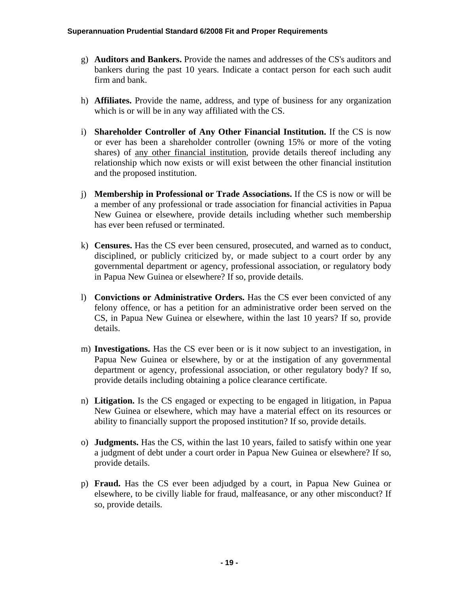- g) **Auditors and Bankers.** Provide the names and addresses of the CS's auditors and bankers during the past 10 years. Indicate a contact person for each such audit firm and bank.
- h) **Affiliates.** Provide the name, address, and type of business for any organization which is or will be in any way affiliated with the CS.
- i) **Shareholder Controller of Any Other Financial Institution.** If the CS is now or ever has been a shareholder controller (owning 15% or more of the voting shares) of any other financial institution, provide details thereof including any relationship which now exists or will exist between the other financial institution and the proposed institution.
- j) **Membership in Professional or Trade Associations.** If the CS is now or will be a member of any professional or trade association for financial activities in Papua New Guinea or elsewhere, provide details including whether such membership has ever been refused or terminated.
- k) **Censures.** Has the CS ever been censured, prosecuted, and warned as to conduct, disciplined, or publicly criticized by, or made subject to a court order by any governmental department or agency, professional association, or regulatory body in Papua New Guinea or elsewhere? If so, provide details.
- l) **Convictions or Administrative Orders.** Has the CS ever been convicted of any felony offence, or has a petition for an administrative order been served on the CS, in Papua New Guinea or elsewhere, within the last 10 years? If so, provide details.
- m) **Investigations.** Has the CS ever been or is it now subject to an investigation, in Papua New Guinea or elsewhere, by or at the instigation of any governmental department or agency, professional association, or other regulatory body? If so, provide details including obtaining a police clearance certificate.
- n) **Litigation.** Is the CS engaged or expecting to be engaged in litigation, in Papua New Guinea or elsewhere, which may have a material effect on its resources or ability to financially support the proposed institution? If so, provide details.
- o) **Judgments.** Has the CS, within the last 10 years, failed to satisfy within one year a judgment of debt under a court order in Papua New Guinea or elsewhere? If so, provide details.
- p) **Fraud.** Has the CS ever been adjudged by a court, in Papua New Guinea or elsewhere, to be civilly liable for fraud, malfeasance, or any other misconduct? If so, provide details.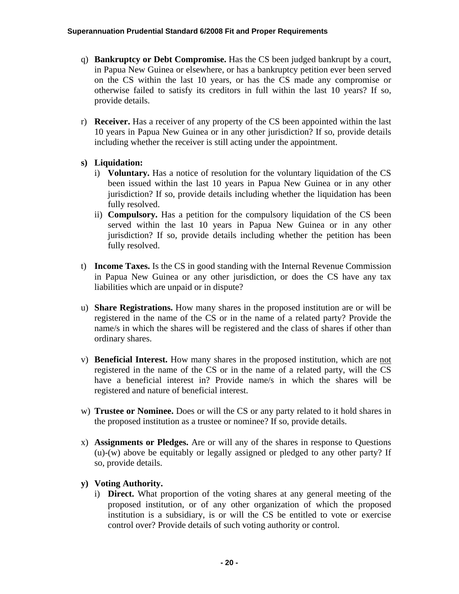- q) **Bankruptcy or Debt Compromise.** Has the CS been judged bankrupt by a court, in Papua New Guinea or elsewhere, or has a bankruptcy petition ever been served on the CS within the last 10 years, or has the CS made any compromise or otherwise failed to satisfy its creditors in full within the last 10 years? If so, provide details.
- r) **Receiver.** Has a receiver of any property of the CS been appointed within the last 10 years in Papua New Guinea or in any other jurisdiction? If so, provide details including whether the receiver is still acting under the appointment.

# **s) Liquidation:**

- i) **Voluntary.** Has a notice of resolution for the voluntary liquidation of the CS been issued within the last 10 years in Papua New Guinea or in any other jurisdiction? If so, provide details including whether the liquidation has been fully resolved.
- ii) **Compulsory.** Has a petition for the compulsory liquidation of the CS been served within the last 10 years in Papua New Guinea or in any other jurisdiction? If so, provide details including whether the petition has been fully resolved.
- t) **Income Taxes.** Is the CS in good standing with the Internal Revenue Commission in Papua New Guinea or any other jurisdiction, or does the CS have any tax liabilities which are unpaid or in dispute?
- u) **Share Registrations.** How many shares in the proposed institution are or will be registered in the name of the CS or in the name of a related party? Provide the name/s in which the shares will be registered and the class of shares if other than ordinary shares.
- v) **Beneficial Interest.** How many shares in the proposed institution, which are not registered in the name of the CS or in the name of a related party, will the CS have a beneficial interest in? Provide name/s in which the shares will be registered and nature of beneficial interest.
- w) **Trustee or Nominee.** Does or will the CS or any party related to it hold shares in the proposed institution as a trustee or nominee? If so, provide details.
- x) **Assignments or Pledges.** Are or will any of the shares in response to Questions (u)-(w) above be equitably or legally assigned or pledged to any other party? If so, provide details.

# **y) Voting Authority.**

i) **Direct.** What proportion of the voting shares at any general meeting of the proposed institution, or of any other organization of which the proposed institution is a subsidiary, is or will the CS be entitled to vote or exercise control over? Provide details of such voting authority or control.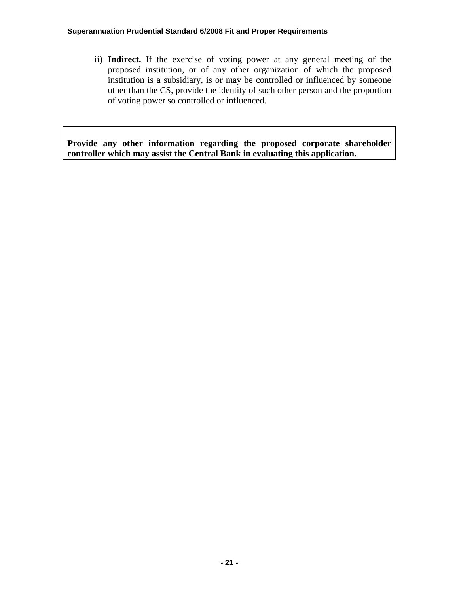ii) **Indirect.** If the exercise of voting power at any general meeting of the proposed institution, or of any other organization of which the proposed institution is a subsidiary, is or may be controlled or influenced by someone other than the CS, provide the identity of such other person and the proportion of voting power so controlled or influenced.

**Provide any other information regarding the proposed corporate shareholder controller which may assist the Central Bank in evaluating this application.**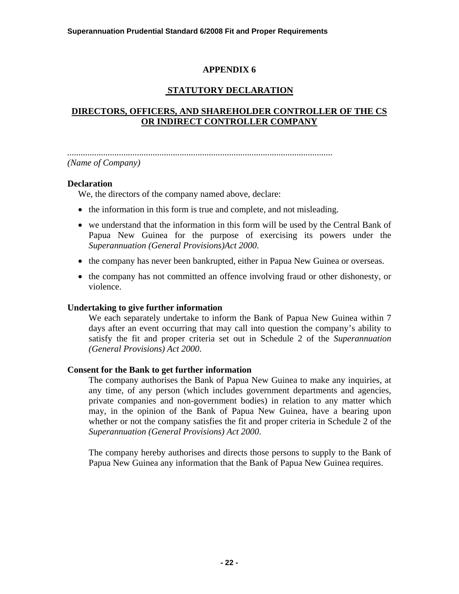# **STATUTORY DECLARATION**

# **DIRECTORS, OFFICERS, AND SHAREHOLDER CONTROLLER OF THE CS OR INDIRECT CONTROLLER COMPANY**

*...................................................................................................................... (Name of Company)*

## **Declaration**

We, the directors of the company named above, declare:

- the information in this form is true and complete, and not misleading.
- we understand that the information in this form will be used by the Central Bank of Papua New Guinea for the purpose of exercising its powers under the *Superannuation (General Provisions)Act 2000*.
- the company has never been bankrupted, either in Papua New Guinea or overseas.
- the company has not committed an offence involving fraud or other dishonesty, or violence.

### **Undertaking to give further information**

We each separately undertake to inform the Bank of Papua New Guinea within 7 days after an event occurring that may call into question the company's ability to satisfy the fit and proper criteria set out in Schedule 2 of the *Superannuation (General Provisions) Act 2000*.

### **Consent for the Bank to get further information**

The company authorises the Bank of Papua New Guinea to make any inquiries, at any time, of any person (which includes government departments and agencies, private companies and non-government bodies) in relation to any matter which may, in the opinion of the Bank of Papua New Guinea, have a bearing upon whether or not the company satisfies the fit and proper criteria in Schedule 2 of the *Superannuation (General Provisions) Act 2000*.

The company hereby authorises and directs those persons to supply to the Bank of Papua New Guinea any information that the Bank of Papua New Guinea requires.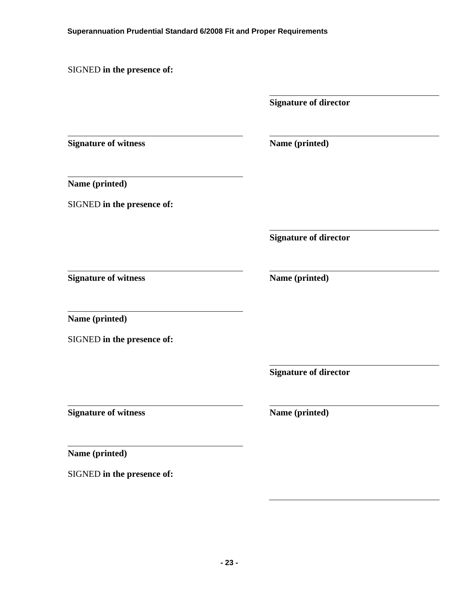SIGNED **in the presence of:** 

**Signature of director** 

**Signature of witness** Name (printed)

**Name (printed)** 

SIGNED **in the presence of:** 

**Signature of director** 

**Signature of witness** Name (printed)

**Name (printed)** 

SIGNED **in the presence of:** 

**Signature of director** 

**Signature of witness** Name (printed)

**Name (printed)** 

SIGNED **in the presence of:**